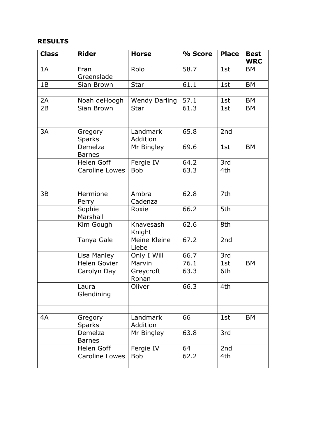## **RESULTS**

| <b>Class</b> | <b>Rider</b>             | <b>Horse</b>          | % Score | <b>Place</b> | <b>Best</b><br><b>WRC</b> |
|--------------|--------------------------|-----------------------|---------|--------------|---------------------------|
| 1A           | Fran<br>Greenslade       | Rolo                  | 58.7    | 1st          | <b>BM</b>                 |
| 1B           | Sian Brown               | <b>Star</b>           | 61.1    | 1st          | <b>BM</b>                 |
|              |                          |                       |         |              |                           |
| 2A           | Noah deHoogh             | <b>Wendy Darling</b>  | 57.1    | 1st          | <b>BM</b>                 |
| 2B           | Sian Brown               | <b>Star</b>           | 61.3    | 1st          | <b>BM</b>                 |
|              |                          |                       |         |              |                           |
|              |                          |                       |         |              |                           |
| 3A           | Gregory<br><b>Sparks</b> | Landmark<br>Addition  | 65.8    | 2nd          |                           |
|              | Demelza<br><b>Barnes</b> | Mr Bingley            | 69.6    | 1st          | <b>BM</b>                 |
|              | Helen Goff               | Fergie IV             | 64.2    | 3rd          |                           |
|              | <b>Caroline Lowes</b>    | <b>Bob</b>            | 63.3    | 4th          |                           |
|              |                          |                       |         |              |                           |
|              |                          |                       |         |              |                           |
| 3B           | Hermione                 | Ambra                 | 62.8    | 7th          |                           |
|              | Perry                    | Cadenza               |         |              |                           |
|              | Sophie<br>Marshall       | Roxie                 | 66.2    | 5th          |                           |
|              | Kim Gough                | Knavesash<br>Knight   | 62.6    | 8th          |                           |
|              | Tanya Gale               | Meine Kleine<br>Liebe | 67.2    | 2nd          |                           |
|              | Lisa Manley              | Only I Will           | 66.7    | 3rd          |                           |
|              | <b>Helen Govier</b>      | Marvin                | 76.1    | 1st          | <b>BM</b>                 |
|              | Carolyn Day              | Greycroft<br>Ronan    | 63.3    | 6th          |                           |
|              | Laura<br>Glendining      | Oliver                | 66.3    | 4th          |                           |
|              |                          |                       |         |              |                           |
|              |                          |                       |         |              |                           |
| 4A           | Gregory<br><b>Sparks</b> | Landmark<br>Addition  | 66      | 1st          | BM                        |
|              | Demelza<br><b>Barnes</b> | Mr Bingley            | 63.8    | 3rd          |                           |
|              | Helen Goff               | Fergie IV             | 64      | 2nd          |                           |
|              | Caroline Lowes           | <b>Bob</b>            | 62.2    | 4th          |                           |
|              |                          |                       |         |              |                           |